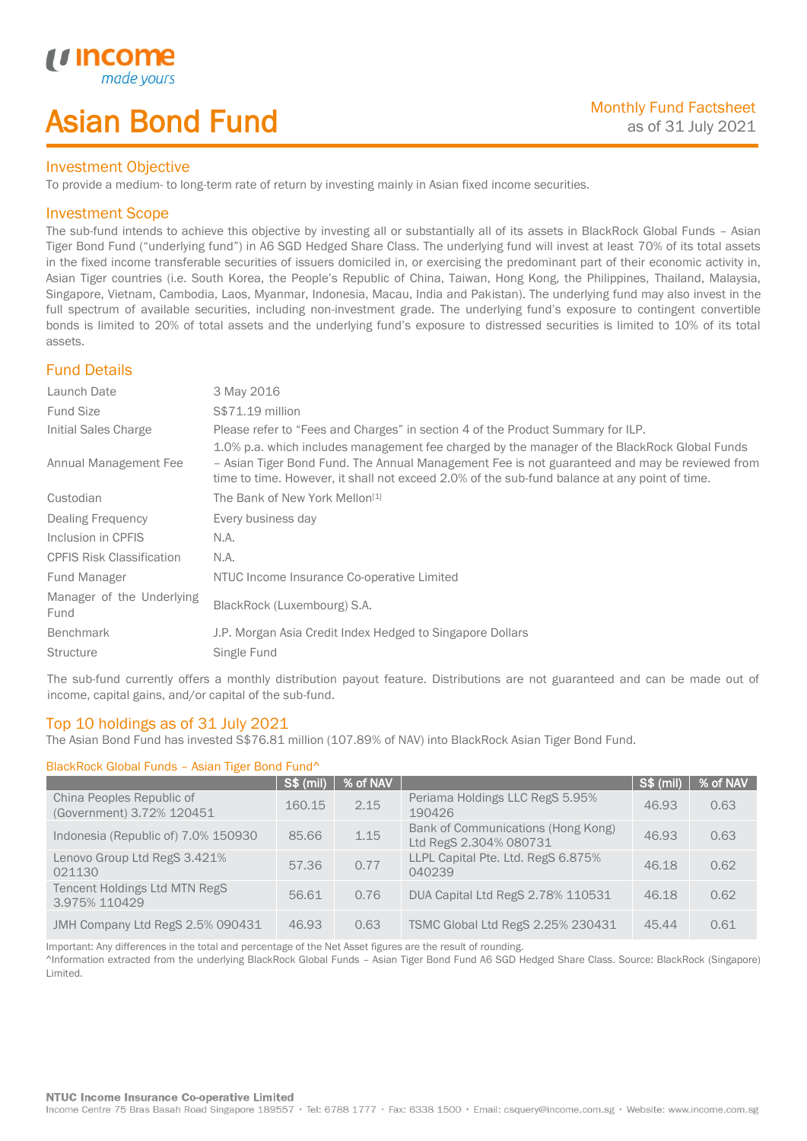# Asian Bond Fund

## Investment Objective

To provide a medium- to long-term rate of return by investing mainly in Asian fixed income securities.

## Investment Scope

*u* incom

I

The sub-fund intends to achieve this objective by investing all or substantially all of its assets in BlackRock Global Funds – Asian Tiger Bond Fund ("underlying fund") in A6 SGD Hedged Share Class. The underlying fund will invest at least 70% of its total assets in the fixed income transferable securities of issuers domiciled in, or exercising the predominant part of their economic activity in, Asian Tiger countries (i.e. South Korea, the People's Republic of China, Taiwan, Hong Kong, the Philippines, Thailand, Malaysia, Singapore, Vietnam, Cambodia, Laos, Myanmar, Indonesia, Macau, India and Pakistan). The underlying fund may also invest in the full spectrum of available securities, including non-investment grade. The underlying fund's exposure to contingent convertible bonds is limited to 20% of total assets and the underlying fund's exposure to distressed securities is limited to 10% of its total assets.

## Fund Details

| Launch Date                       | 3 May 2016                                                                                                                                                                                                                                                                                     |
|-----------------------------------|------------------------------------------------------------------------------------------------------------------------------------------------------------------------------------------------------------------------------------------------------------------------------------------------|
| <b>Fund Size</b>                  | S\$71.19 million                                                                                                                                                                                                                                                                               |
| Initial Sales Charge              | Please refer to "Fees and Charges" in section 4 of the Product Summary for ILP.                                                                                                                                                                                                                |
| Annual Management Fee             | 1.0% p.a. which includes management fee charged by the manager of the BlackRock Global Funds<br>- Asian Tiger Bond Fund. The Annual Management Fee is not guaranteed and may be reviewed from<br>time to time. However, it shall not exceed 2.0% of the sub-fund balance at any point of time. |
| Custodian                         | The Bank of New York Mellon <sup>[1]</sup>                                                                                                                                                                                                                                                     |
| Dealing Frequency                 | Every business day                                                                                                                                                                                                                                                                             |
| Inclusion in CPFIS                | N.A.                                                                                                                                                                                                                                                                                           |
| <b>CPFIS Risk Classification</b>  | N.A.                                                                                                                                                                                                                                                                                           |
| Fund Manager                      | NTUC Income Insurance Co-operative Limited                                                                                                                                                                                                                                                     |
| Manager of the Underlying<br>Fund | BlackRock (Luxembourg) S.A.                                                                                                                                                                                                                                                                    |
| <b>Benchmark</b>                  | J.P. Morgan Asia Credit Index Hedged to Singapore Dollars                                                                                                                                                                                                                                      |
| <b>Structure</b>                  | Single Fund                                                                                                                                                                                                                                                                                    |

The sub-fund currently offers a monthly distribution payout feature. Distributions are not guaranteed and can be made out of income, capital gains, and/or capital of the sub-fund.

## Top 10 holdings as of 31 July 2021

The Asian Bond Fund has invested S\$76.81 million (107.89% of NAV) into BlackRock Asian Tiger Bond Fund.

### BlackRock Global Funds – Asian Tiger Bond Fund^

|                                                        | <b>S\$ (mil)</b> | % of NAV |                                                              | <b>S\$ (mil)</b> | % of NAV |
|--------------------------------------------------------|------------------|----------|--------------------------------------------------------------|------------------|----------|
| China Peoples Republic of<br>(Government) 3.72% 120451 | 160.15           | 2.15     | Periama Holdings LLC RegS 5.95%<br>190426                    | 46.93            | 0.63     |
| Indonesia (Republic of) 7.0% 150930                    | 85.66            | 1.15     | Bank of Communications (Hong Kong)<br>Ltd RegS 2.304% 080731 | 46.93            | 0.63     |
| Lenovo Group Ltd RegS 3.421%<br>021130                 | 57.36            | 0.77     | LLPL Capital Pte. Ltd. RegS 6.875%<br>040239                 | 46.18            | 0.62     |
| <b>Tencent Holdings Ltd MTN RegS</b><br>3.975% 110429  | 56.61            | 0.76     | DUA Capital Ltd RegS 2.78% 110531                            | 46.18            | 0.62     |
| JMH Company Ltd RegS 2.5% 090431                       | 46.93            | 0.63     | TSMC Global Ltd RegS 2.25% 230431                            | 45.44            | 0.61     |

Important: Any differences in the total and percentage of the Net Asset figures are the result of rounding.

^Information extracted from the underlying BlackRock Global Funds – Asian Tiger Bond Fund A6 SGD Hedged Share Class. Source: BlackRock (Singapore) Limited.

#### **NTUC Income Insurance Co-operative Limited**

Income Centre 75 Bras Basah Road Singapore 189557 · Tel: 6788 1777 · Fax: 6338 1500 · Email: csquery@income.com.sg · Website: www.income.com.sg